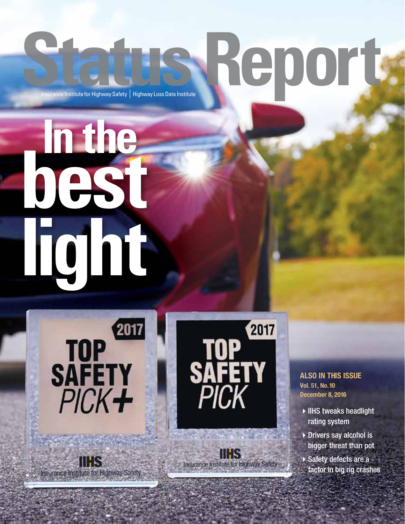# **Status Report Institute for Highway Safety | Highway Loss Data Institute**

**best In the light**







**IIHS** Insurance Institute for Highway Safety

### ALSO IN THIS ISSUE Vol. 51, No. 10 December 8, 2016

- $\blacktriangleright$  IIHS tweaks headlight rating system
- $\triangleright$  Drivers say alcohol is bigger threat than pot
- $\blacktriangleright$  Safety defects are a factor in big rig crashes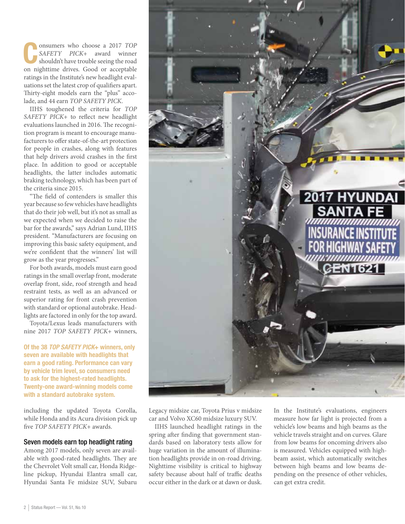Consumers who choose a 2017 *TOP*<br>
SAFETY *PICK*+ award winner<br>
shouldn't have trouble seeing the road *SAFETY PICK*+ award winner on nighttime drives. Good or acceptable ratings in the Institute's new headlight evaluations set the latest crop of qualifiers apart. Thirty-eight models earn the "plus" accolade, and 44 earn *TOP SAFETY PICK*.

IIHS toughened the criteria for *TOP SAFETY PICK*+ to reflect new headlight evaluations launched in 2016. The recognition program is meant to encourage manufacturers to offer state-of-the-art protection for people in crashes, along with features that help drivers avoid crashes in the first place. In addition to good or acceptable headlights, the latter includes automatic braking technology, which has been part of the criteria since 2015.

"The field of contenders is smaller this year because so few vehicles have headlights that do their job well, but it's not as small as we expected when we decided to raise the bar for the awards," says Adrian Lund, IIHS president. "Manufacturers are focusing on improving this basic safety equipment, and we're confident that the winners' list will grow as the year progresses."

For both awards, models must earn good ratings in the small overlap front, moderate overlap front, side, roof strength and head restraint tests, as well as an advanced or superior rating for front crash prevention with standard or optional autobrake. Headlights are factored in only for the top award.

Toyota/Lexus leads manufacturers with nine 2017 *TOP SAFETY PICK*+ winners,

Of the 38 TOP SAFETY PICK+ winners, only seven are available with headlights that earn a good rating. Performance can vary by vehicle trim level, so consumers need to ask for the highest-rated headlights. Twenty-one award-winning models come with a standard autobrake system.

including the updated Toyota Corolla, while Honda and its Acura division pick up five *TOP SAFETY PICK*+ awards.

### Seven models earn top headlight rating

Among 2017 models, only seven are available with good-rated headlights. They are the Chevrolet Volt small car, Honda Ridgeline pickup, Hyundai Elantra small car, Hyundai Santa Fe midsize SUV, Subaru



Legacy midsize car, Toyota Prius v midsize car and Volvo XC60 midsize luxury SUV.

IIHS launched headlight ratings in the spring after finding that government standards based on laboratory tests allow for huge variation in the amount of illumination headlights provide in on-road driving. Nighttime visibility is critical to highway safety because about half of traffic deaths occur either in the dark or at dawn or dusk.

In the Institute's evaluations, engineers measure how far light is projected from a vehicle's low beams and high beams as the vehicle travels straight and on curves. Glare from low beams for oncoming drivers also is measured. Vehicles equipped with highbeam assist, which automatically switches between high beams and low beams depending on the presence of other vehicles, can get extra credit.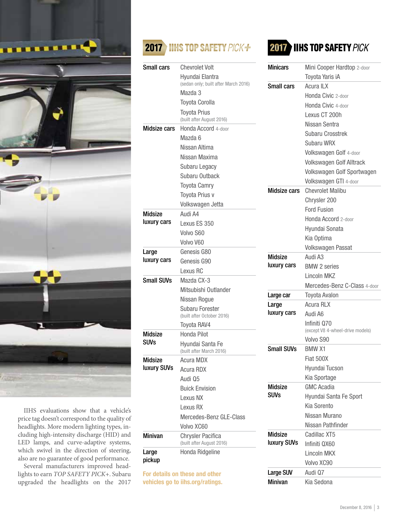

IIHS evaluations show that a vehicle's price tag doesn't correspond to the quality of headlights. More modern lighting types, including high-intensity discharge (HID) and LED lamps, and curve-adaptive systems, which swivel in the direction of steering, also are no guarantee of good performance.

Several manufacturers improved headlights to earn *TOP SAFETY PICK*+. Subaru upgraded the headlights on the 2017

### 2017 IIHS TOP SAFETY PICK+

| <b>Small cars</b>                    | <b>Chevrolet Volt</b>                          |
|--------------------------------------|------------------------------------------------|
|                                      | Hyundai Elantra                                |
|                                      | (sedan only; built after March 2016)           |
|                                      | Mazda 3                                        |
|                                      | <b>Toyota Corolla</b>                          |
|                                      | Toyota Prius<br>(built after August 2016)      |
| <b>Midsize cars</b>                  | Honda Accord 4-door                            |
|                                      | Mazda 6                                        |
|                                      | Nissan Altima                                  |
|                                      | Nissan Maxima                                  |
|                                      | Subaru Legacy                                  |
|                                      | Subaru Outback                                 |
|                                      | <b>Toyota Camry</b>                            |
|                                      | Toyota Prius v                                 |
|                                      | Volkswagen Jetta                               |
| <b>Midsize</b>                       | Audi A4                                        |
| luxury cars                          | Lexus ES 350                                   |
|                                      | Volvo S60                                      |
|                                      | Volvo V60                                      |
| Large                                | Genesis G80                                    |
| luxury cars                          | Genesis G90                                    |
|                                      | Lexus RC                                       |
| <b>Small SUVs</b>                    | Mazda CX-3                                     |
|                                      | Mitsubishi Outlander                           |
|                                      | Nissan Rogue                                   |
|                                      | Subaru Forester<br>(built after October 2016)  |
|                                      | Toyota RAV4                                    |
| <b>Midsize</b>                       | Honda Pilot                                    |
| <b>SUVs</b>                          | Hyundai Santa Fe<br>(built after March 2016)   |
| <b>Midsize</b><br><b>luxury SUVs</b> | <b>Acura MDX</b>                               |
|                                      | <b>Acura RDX</b>                               |
|                                      | Audi 05                                        |
|                                      | <b>Buick Envision</b>                          |
|                                      | Lexus NX                                       |
|                                      | Lexus RX                                       |
|                                      | Mercedes-Benz GLE-Class                        |
|                                      | Volvo XC60                                     |
| <b>Minivan</b>                       | Chrvsler Pacifica<br>(built after August 2016) |
| Large<br>pickup                      | Honda Ridgeline                                |
|                                      | For details on these and other                 |

vehicles go to iihs.org/ratings.

### **2017 IIHS TOP SAFETY PICK**

| <b>Minicars</b>     | Mini Cooper Hardtop 2-door       |
|---------------------|----------------------------------|
|                     | Toyota Yaris iA                  |
| <b>Small cars</b>   | Acura ILX                        |
|                     | Honda Civic 2-door               |
|                     | Honda Civic 4-door               |
|                     | Lexus CT 200h                    |
|                     | Nissan Sentra                    |
|                     | Subaru Crosstrek                 |
|                     | Subaru WRX                       |
|                     | Volkswagen Golf 4-door           |
|                     | Volkswagen Golf Alltrack         |
|                     | Volkswagen Golf Sportwagen       |
|                     | Volkswagen GTI 4-door            |
| <b>Midsize cars</b> | <b>Chevrolet Malibu</b>          |
|                     | Chrysler 200                     |
|                     | Ford Fusion                      |
|                     | Honda Accord 2-door              |
|                     | Hyundai Sonata                   |
|                     | Kia Optima                       |
|                     | <b>Volkswagen Passat</b>         |
| <b>Midsize</b>      | Audi A3                          |
| luxury cars         | <b>BMW 2 series</b>              |
|                     | Lincoln MKZ                      |
|                     | Mercedes-Benz C-Class 4-door     |
| Large car           | Toyota Avalon                    |
| Large               | Acura RLX                        |
| luxury cars         | Audi A6                          |
|                     | Infiniti Q70                     |
|                     | (except V8 4-wheel-drive models) |
|                     | Volvo S90                        |
| <b>Small SUVs</b>   | <b>BMW X1</b>                    |
|                     | <b>Fiat 500X</b>                 |
|                     | Hyundai Tucson                   |
|                     | Kia Sportage                     |
| <b>Midsize</b>      | <b>GMC Acadia</b>                |
| SUVs                | Hyundai Santa Fe Sport           |
|                     | <b>Kia Sorento</b>               |
|                     | Nissan Murano                    |
|                     | Nissan Pathfinder                |
| Midsize             | Cadillac XT5                     |
| luxury SUVs         | Infiniti QX60                    |
|                     | Lincoln MKX                      |
|                     | Volvo XC90                       |
| Large SUV           | Audi 07                          |
| <b>Minivan</b>      | Kia Sedona                       |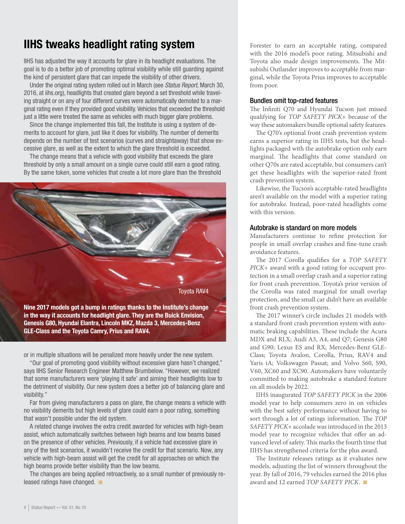### IIHS tweaks headlight rating system

IIHS has adjusted the way it accounts for glare in its headlight evaluations. The goal is to do a better job of promoting optimal visibility while still guarding against the kind of persistent glare that can impede the visibility of other drivers.

Under the original rating system rolled out in March (see Status Report, March 30, 2016, at iihs.org), headlights that created glare beyond a set threshold while traveling straight or on any of four different curves were automatically demoted to a marginal rating even if they provided good visibility. Vehicles that exceeded the threshold just a little were treated the same as vehicles with much bigger glare problems.

Since the change implemented this fall, the Institute is using a system of demerits to account for glare, just like it does for visibility. The number of demerits depends on the number of test scenarios (curves and straightaway) that show excessive glare, as well as the extent to which the glare threshold is exceeded.

The change means that a vehicle with good visibility that exceeds the glare threshold by only a small amount on a single curve could still earn a good rating. By the same token, some vehicles that create a lot more glare than the threshold



in the way it accounts for headlight glare. They are the Buick Envision, Genesis G80, Hyundai Elantra, Lincoln MKZ, Mazda 3, Mercedes-Benz GLE-Class and the Toyota Camry, Prius and RAV4.

or in multiple situations will be penalized more heavily under the new system.

"Our goal of promoting good visibility without excessive glare hasn't changed," says IIHS Senior Research Engineer Matthew Brumbelow. "However, we realized that some manufacturers were 'playing it safe' and aiming their headlights low to the detriment of visibility. Our new system does a better job of balancing glare and visibility."

Far from giving manufacturers a pass on glare, the change means a vehicle with no visibility demerits but high levels of glare could earn a poor rating, something that wasn't possible under the old system.

A related change involves the extra credit awarded for vehicles with high-beam assist, which automatically switches between high beams and low beams based on the presence of other vehicles. Previously, if a vehicle had excessive glare in any of the test scenarios, it wouldn't receive the credit for that scenario. Now, any vehicle with high-beam assist will get the credit for all approaches on which the high beams provide better visibility than the low beams.

The changes are being applied retroactively, so a small number of previously released ratings have changed.  $\blacksquare$ 

Forester to earn an acceptable rating, compared with the 2016 model's poor rating. Mitsubishi and Toyota also made design improvements. The Mitsubishi Outlander improves to acceptable from marginal, while the Toyota Prius improves to acceptable from poor.

### Bundles omit top-rated features

The Infiniti Q70 and Hyundai Tucson just missed qualifying for *TOP SAFETY PICK*+ because of the way these automakers bundle optional safety features.

The Q70's optional front crash prevention system earns a superior rating in IIHS tests, but the headlights packaged with the autobrake option only earn marginal. The headlights that come standard on other Q70s are rated acceptable, but consumers can't get these headlights with the superior-rated front crash prevention system.

Likewise, the Tucson's acceptable-rated headlights aren't available on the model with a superior rating for autobrake. Instead, poor-rated headlights come with this version.

### Autobrake is standard on more models

Manufacturers continue to refine protection for people in small overlap crashes and fine-tune crash avoidance features.

The 2017 Corolla qualifies for a *TOP SAFETY PICK*+ award with a good rating for occupant protection in a small overlap crash and a superior rating for front crash prevention. Toyota's prior version of the Corolla was rated marginal for small overlap protection, and the small car didn't have an available front crash prevention system.

The 2017 winner's circle includes 21 models with a standard front crash prevention system with automatic braking capabilities. These include the Acura MDX and RLX; Audi A3, A4, and Q7; Genesis G80 and G90; Lexus ES and RX; Mercedes-Benz GLE-Class; Toyota Avalon, Corolla, Prius, RAV4 and Yaris iA; Volkswagen Passat; and Volvo S60, S90, V60, XC60 and XC90. Automakers have voluntarily committed to making autobrake a standard feature on all models by 2022.

IIHS inaugurated *TOP SAFETY PICK* in the 2006 model year to help consumers zero in on vehicles with the best safety performance without having to sort through a lot of ratings information. The *TOP SAFETY PICK*+ accolade was introduced in the 2013 model year to recognize vehicles that offer an advanced level of safety. This marks the fourth time that IIHS has strengthened criteria for the plus award.

The Institute releases ratings as it evaluates new models, adjusting the list of winners throughout the year. By fall of 2016, 79 vehicles earned the 2016 plus award and 12 earned *TOP SAFETY PICK*.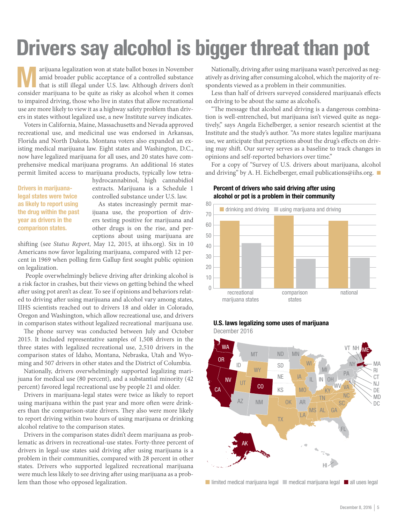# **Drivers say alcohol is bigger threat than pot**

arijuana legalization won at state ballot boxes in November<br>amid broader public acceptance of a controlled substance<br>that is still illegal under U.S. law. Although drivers don't amid broader public acceptance of a controlled substance that is still illegal under U.S. law. Although drivers don't consider marijuana to be quite as risky as alcohol when it comes to impaired driving, those who live in states that allow recreational use are more likely to view it as a highway safety problem than drivers in states without legalized use, a new Institute survey indicates.

Voters in California, Maine, Massachusetts and Nevada approved recreational use, and medicinal use was endorsed in Arkansas, Florida and North Dakota. Montana voters also expanded an existing medical marijuana law. Eight states and Washington, D.C., now have legalized marijuana for all uses, and 20 states have comprehensive medical marijuana programs. An additional 16 states permit limited access to marijuana products, typically low tetra-

Drivers in marijuanalegal states were twice as likely to report using the drug within the past year as drivers in the comparison states.

hydrocannabinol, high cannabidiol extracts. Marijuana is a Schedule 1 controlled substance under U.S. law.

As states increasingly permit marijuana use, the proportion of drivers testing positive for marijuana and other drugs is on the rise, and perceptions about using marijuana are

shifting (see *Status Report*, May 12, 2015, at iihs.org). Six in 10 Americans now favor legalizing marijuana, compared with 12 percent in 1969 when polling firm Gallup first sought public opinion on legalization.

 People overwhelmingly believe driving after drinking alcohol is a risk factor in crashes, but their views on getting behind the wheel after using pot aren't as clear. To see if opinions and behaviors related to driving after using marijuana and alcohol vary among states, IIHS scientists reached out to drivers 18 and older in Colorado, Oregon and Washington, which allow recreational use, and drivers in comparison states without legalized recreational marijuana use.

The phone survey was conducted between July and October 2015. It included representative samples of 1,508 drivers in the three states with legalized recreational use, 2,510 drivers in the comparison states of Idaho, Montana, Nebraska, Utah and Wyoming and 507 drivers in other states and the District of Columbia.

Nationally, drivers overwhelmingly supported legalizing marijuana for medical use (80 percent), and a substantial minority (42 percent) favored legal recreational use by people 21 and older.

Drivers in marijuana-legal states were twice as likely to report using marijuana within the past year and more often were drinkers than the comparison-state drivers. They also were more likely to report driving within two hours of using marijuana or drinking alcohol relative to the comparison states.

Drivers in the comparison states didn't deem marijuana as problematic as drivers in recreational-use states. Forty-three percent of drivers in legal-use states said driving after using marijuana is a problem in their communities, compared with 28 percent in other states. Drivers who supported legalized recreational marijuana were much less likely to see driving after using marijuana as a problem than those who opposed legalization.

Nationally, driving after using marijuana wasn't perceived as negatively as driving after consuming alcohol, which the majority of respondents viewed as a problem in their communities.

Less than half of drivers surveyed considered marijuana's effects on driving to be about the same as alcohol's.

"The message that alcohol and driving is a dangerous combination is well-entrenched, but marijuana isn't viewed quite as negatively," says Angela Eichelberger, a senior research scientist at the Institute and the study's author. "As more states legalize marijuana use, we anticipate that perceptions about the drug's effects on driving may shift. Our survey serves as a baseline to track changes in opinions and self-reported behaviors over time."

For a copy of "Survey of U.S. drivers about marijuana, alcohol and driving" by A. H. Eichelberger, email publications@iihs.org.  $\blacksquare$ 

### $\cap$ 10 20 30 40 50 60 70 80 comparison national states recreational marijuana states ■ drinking and driving ■ using marijuana and driving

### Percent of drivers who said driving after using alcohol or pot is a problem in their community

### U.S. laws legalizing some uses of marijuana

December 2016

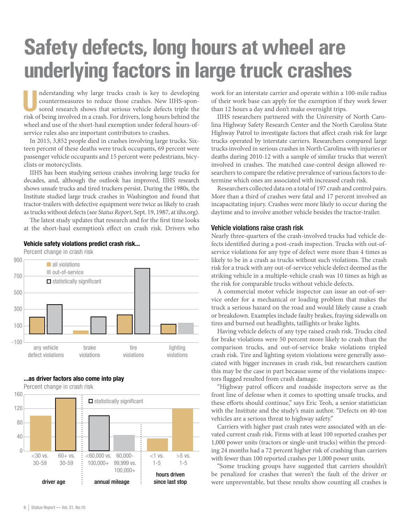### **Safety defects, long hours at wheel are underlying factors in large truck crashes**

nderstanding why large trucks crash is key to developing<br>
countermeasures to reduce those crashes. New IIHS-spon-<br>
sored research shows that serious vehicle defects triple the<br>
side of heimaineal in a mult. For discover la countermeasures to reduce those crashes. New IIHS-sponrisk of being involved in a crash. For drivers, long hours behind the wheel and use of the short-haul exemption under federal hours-ofservice rules also are important contributors to crashes.

In 2015, 3,852 people died in crashes involving large trucks. Sixteen percent of these deaths were truck occupants, 69 percent were passenger vehicle occupants and 15 percent were pedestrians, bicyclists or motorcyclists.

IIHS has been studying serious crashes involving large trucks for decades, and, although the outlook has improved, IIHS research shows unsafe trucks and tired truckers persist. During the 1980s, the Institute studied large truck crashes in Washington and found that tractor-trailers with defective equipment were twice as likely to crash as trucks without defects (see *Status Report*, Sept. 19, 1987, at iihs.org).

The latest study updates that research and for the first time looks at the short-haul exemption's effect on crash risk. Drivers who



### Vehicle safety violations predict crash risk...

...as driver factors also come into play

Percent change in crash risk



work for an interstate carrier and operate within a 100-mile radius of their work base can apply for the exemption if they work fewer than 12 hours a day and don't make overnight trips.

IIHS researchers partnered with the University of North Carolina Highway Safety Research Center and the North Carolina State Highway Patrol to investigate factors that affect crash risk for large trucks operated by interstate carriers. Researchers compared large trucks involved in serious crashes in North Carolina with injuries or deaths during 2010-12 with a sample of similar trucks that weren't involved in crashes. The matched case-control design allowed researchers to compare the relative prevalence of various factors to determine which ones are associated with increased crash risk.

Researchers collected data on a total of 197 crash and control pairs. More than a third of crashes were fatal and 17 percent involved an incapacitating injury. Crashes were more likely to occur during the daytime and to involve another vehicle besides the tractor-trailer.

#### Vehicle violations raise crash risk

Nearly three-quarters of the crash-involved trucks had vehicle defects identified during a post-crash inspection. Trucks with out-ofservice violations for any type of defect were more than 4 times as likely to be in a crash as trucks without such violations. The crash risk for a truck with any out-of-service vehicle defect deemed as the striking vehicle in a multiple-vehicle crash was 10 times as high as the risk for comparable trucks without vehicle defects.

A commercial motor vehicle inspector can issue an out-of-service order for a mechanical or loading problem that makes the truck a serious hazard on the road and would likely cause a crash or breakdown. Examples include faulty brakes, fraying sidewalls on tires and burned out headlights, taillights or brake lights.

Having vehicle defects of any type raised crash risk. Trucks cited for brake violations were 50 percent more likely to crash than the comparison trucks, and out-of-service brake violations tripled crash risk. Tire and lighting system violations were generally associated with bigger increases in crash risk, but researchers caution this may be the case in part because some of the violations inspectors flagged resulted from crash damage.

"Highway patrol officers and roadside inspectors serve as the front line of defense when it comes to spotting unsafe trucks, and these efforts should continue," says Eric Teoh, a senior statistician with the Institute and the study's main author. "Defects on 40-ton vehicles are a serious threat to highway safety."

Carriers with higher past crash rates were associated with an elevated current crash risk. Firms with at least 100 reported crashes per 1,000 power units (tractors or single-unit trucks) within the preceding 24 months had a 72 percent higher risk of crashing than carriers with fewer than 100 reported crashes per 1,000 power units.

"Some trucking groups have suggested that carriers shouldn't be penalized for crashes that weren't the fault of the driver or were unpreventable, but these results show counting all crashes is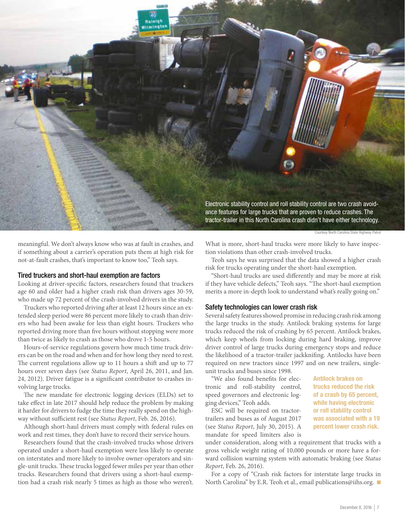

meaningful. We don't always know who was at fault in crashes, and if something about a carrier's operation puts them at high risk for not-at-fault crashes, that's important to know too," Teoh says.

### Tired truckers and short-haul exemption are factors

Looking at driver-specific factors, researchers found that truckers age 60 and older had a higher crash risk than drivers ages 30-59, who made up 72 percent of the crash-involved drivers in the study.

Truckers who reported driving after at least 12 hours since an extended sleep period were 86 percent more likely to crash than drivers who had been awake for less than eight hours. Truckers who reported driving more than five hours without stopping were more than twice as likely to crash as those who drove 1-5 hours.

Hours-of-service regulations govern how much time truck drivers can be on the road and when and for how long they need to rest. The current regulations allow up to 11 hours a shift and up to 77 hours over seven days (see *Status Report*, April 26, 2011, and Jan. 24, 2012). Driver fatigue is a significant contributor to crashes involving large trucks.

The new mandate for electronic logging devices (ELDs) set to take effect in late 2017 should help reduce the problem by making it harder for drivers to fudge the time they really spend on the highway without sufficient rest (see *Status Report*, Feb. 26, 2016).

Although short-haul drivers must comply with federal rules on work and rest times, they don't have to record their service hours.

Researchers found that the crash-involved trucks whose drivers operated under a short-haul exemption were less likely to operate on interstates and more likely to involve owner-operators and single-unit trucks. These trucks logged fewer miles per year than other trucks. Researchers found that drivers using a short-haul exemption had a crash risk nearly 5 times as high as those who weren't. What is more, short-haul trucks were more likely to have inspection violations than other crash-involved trucks.

Teoh says he was surprised that the data showed a higher crash risk for trucks operating under the short-haul exemption.

"Short-haul trucks are used differently and may be more at risk if they have vehicle defects," Teoh says. "The short-haul exemption merits a more in-depth look to understand what's really going on."

### Safety technologies can lower crash risk

Several safety features showed promise in reducing crash risk among the large trucks in the study. Antilock braking systems for large trucks reduced the risk of crashing by 65 percent. Antilock brakes, which keep wheels from locking during hard braking, improve driver control of large trucks during emergency stops and reduce the likelihood of a tractor-trailer jackknifing. Antilocks have been required on new tractors since 1997 and on new trailers, singleunit trucks and buses since 1998.

"We also found benefits for electronic and roll-stability control, speed governors and electronic logging devices," Teoh adds.

ESC will be required on tractortrailers and buses as of August 2017 (see *Status Report*, July 30, 2015). A mandate for speed limiters also is

under consideration, along with a requirement that trucks with a gross vehicle weight rating of 10,000 pounds or more have a forward collision warning system with automatic braking (see *Status Report*, Feb. 26, 2016).

For a copy of "Crash risk factors for interstate large trucks in North Carolina" by E.R. Teoh et al., email publications@iihs.org.

Antilock brakes on trucks reduced the risk of a crash by 65 percent, while having electronic or roll stability control was associated with a 19 percent lower crash risk.